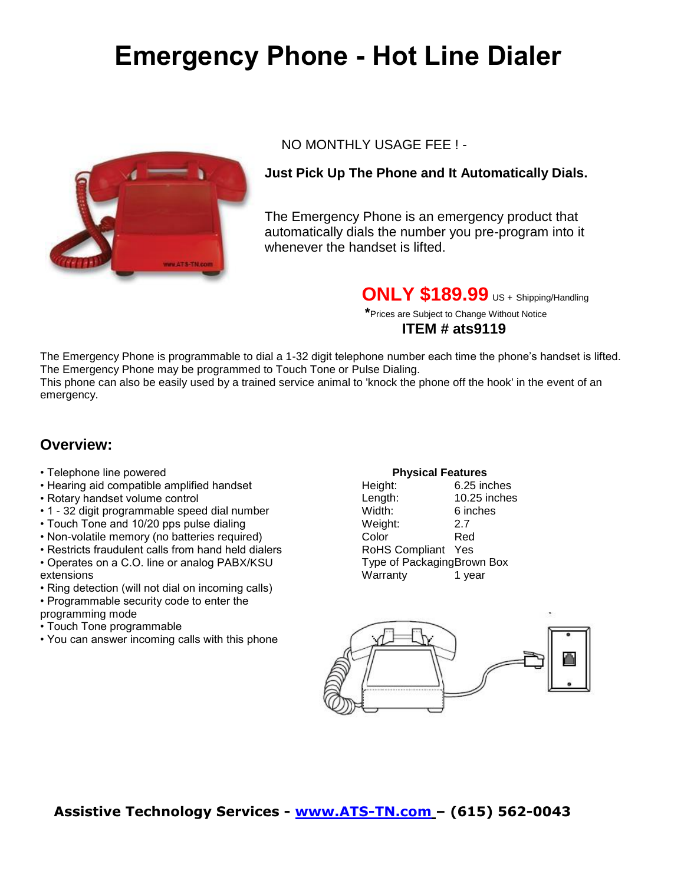# **Emergency Phone - Hot Line Dialer**



#### NO MONTHLY USAGE FEE ! -

#### **Just Pick Up The Phone and It Automatically Dials.**

The Emergency Phone is an emergency product that automatically dials the number you pre-program into it whenever the handset is lifted.

**ONLY \$189.99** US + Shipping/Handling

 **\***Prices are Subject to Change Without Notice

#### **ITEM # ats9119**

The Emergency Phone is programmable to dial a 1-32 digit telephone number each time the phone's handset is lifted. The Emergency Phone may be programmed to Touch Tone or Pulse Dialing. This phone can also be easily used by a trained service animal to 'knock the phone off the hook' in the event of an emergency.

## **Overview:**

- Telephone line powered
- Hearing aid compatible amplified handset
- Rotary handset volume control
- 1 32 digit programmable speed dial number
- Touch Tone and 10/20 pps pulse dialing
- Non-volatile memory (no batteries required)
- Restricts fraudulent calls from hand held dialers
- Operates on a C.O. line or analog PABX/KSU extensions
- Ring detection (will not dial on incoming calls)
- Programmable security code to enter the
- programming mode
- Touch Tone programmable
- You can answer incoming calls with this phone

#### **Physical Features**

| Height:                    | 6.25 inches  |  |
|----------------------------|--------------|--|
| Length:                    | 10.25 inches |  |
| Width:                     | 6 inches     |  |
| Weight:                    | 2.7          |  |
| Color                      | Red          |  |
| <b>RoHS Compliant</b>      | Yes          |  |
| Type of PackagingBrown Box |              |  |
| Warranty                   | 1 year       |  |
|                            |              |  |



### **Assistive Technology Services - [www.ATS-TN.com](http://www.ats-tn.com/) – (615) 562-0043**